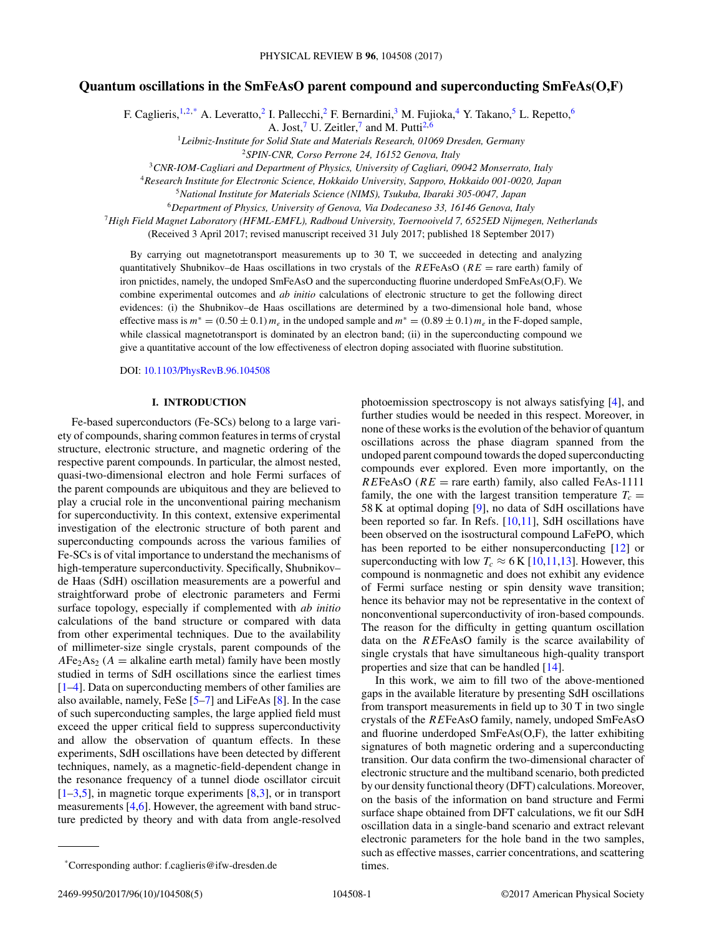# **Quantum oscillations in the SmFeAsO parent compound and superconducting SmFeAs(O,F)**

F. Caglieris,<sup>1,2,\*</sup> A. Leveratto,<sup>2</sup> I. Pallecchi,<sup>2</sup> F. Bernardini,<sup>3</sup> M. Fujioka,<sup>4</sup> Y. Takano,<sup>5</sup> L. Repetto,<sup>6</sup>

A. Jost,<sup>7</sup> U. Zeitler,<sup>7</sup> and M. Putti<sup>2,6</sup>

<sup>1</sup>*Leibniz-Institute for Solid State and Materials Research, 01069 Dresden, Germany*

<sup>2</sup>*SPIN-CNR, Corso Perrone 24, 16152 Genova, Italy*

<sup>3</sup>*CNR-IOM-Cagliari and Department of Physics, University of Cagliari, 09042 Monserrato, Italy*

<sup>4</sup>*Research Institute for Electronic Science, Hokkaido University, Sapporo, Hokkaido 001-0020, Japan*

<sup>5</sup>*National Institute for Materials Science (NIMS), Tsukuba, Ibaraki 305-0047, Japan*

<sup>6</sup>*Department of Physics, University of Genova, Via Dodecaneso 33, 16146 Genova, Italy*

<sup>7</sup>*High Field Magnet Laboratory (HFML-EMFL), Radboud University, Toernooiveld 7, 6525ED Nijmegen, Netherlands*

(Received 3 April 2017; revised manuscript received 31 July 2017; published 18 September 2017)

By carrying out magnetotransport measurements up to 30 T, we succeeded in detecting and analyzing quantitatively Shubnikov–de Haas oscillations in two crystals of the *RE*FeAsO (*RE* = rare earth) family of iron pnictides, namely, the undoped SmFeAsO and the superconducting fluorine underdoped SmFeAs(O,F). We combine experimental outcomes and *ab initio* calculations of electronic structure to get the following direct evidences: (i) the Shubnikov–de Haas oscillations are determined by a two-dimensional hole band, whose effective mass is  $m^* = (0.50 \pm 0.1) m_e$  in the undoped sample and  $m^* = (0.89 \pm 0.1) m_e$  in the F-doped sample, while classical magnetotransport is dominated by an electron band; (ii) in the superconducting compound we give a quantitative account of the low effectiveness of electron doping associated with fluorine substitution.

DOI: [10.1103/PhysRevB.96.104508](https://doi.org/10.1103/PhysRevB.96.104508)

### **I. INTRODUCTION**

Fe-based superconductors (Fe-SCs) belong to a large variety of compounds, sharing common features in terms of crystal structure, electronic structure, and magnetic ordering of the respective parent compounds. In particular, the almost nested, quasi-two-dimensional electron and hole Fermi surfaces of the parent compounds are ubiquitous and they are believed to play a crucial role in the unconventional pairing mechanism for superconductivity. In this context, extensive experimental investigation of the electronic structure of both parent and superconducting compounds across the various families of Fe-SCs is of vital importance to understand the mechanisms of high-temperature superconductivity. Specifically, Shubnikov– de Haas (SdH) oscillation measurements are a powerful and straightforward probe of electronic parameters and Fermi surface topology, especially if complemented with *ab initio* calculations of the band structure or compared with data from other experimental techniques. Due to the availability of millimeter-size single crystals, parent compounds of the  $AFe<sub>2</sub>As<sub>2</sub>$  ( $A =$  alkaline earth metal) family have been mostly studied in terms of SdH oscillations since the earliest times [\[1–4\]](#page-4-0). Data on superconducting members of other families are also available, namely, FeSe [\[5–7\]](#page-4-0) and LiFeAs [\[8\]](#page-4-0). In the case of such superconducting samples, the large applied field must exceed the upper critical field to suppress superconductivity and allow the observation of quantum effects. In these experiments, SdH oscillations have been detected by different techniques, namely, as a magnetic-field-dependent change in the resonance frequency of a tunnel diode oscillator circuit  $[1–3,5]$ , in magnetic torque experiments  $[8,3]$ , or in transport measurements [\[4,6\]](#page-4-0). However, the agreement with band structure predicted by theory and with data from angle-resolved

photoemission spectroscopy is not always satisfying [\[4\]](#page-4-0), and further studies would be needed in this respect. Moreover, in none of these works is the evolution of the behavior of quantum oscillations across the phase diagram spanned from the undoped parent compound towards the doped superconducting compounds ever explored. Even more importantly, on the  $REFeAsO (RE = rare earth)$  family, also called FeAs-1111 family, the one with the largest transition temperature  $T_c =$ 58 K at optimal doping [\[9\]](#page-4-0), no data of SdH oscillations have been reported so far. In Refs. [\[10,11\]](#page-4-0), SdH oscillations have been observed on the isostructural compound LaFePO, which has been reported to be either nonsuperconducting [\[12\]](#page-4-0) or superconducting with low  $T_c \approx 6 \text{ K}$  [\[10,11,13\]](#page-4-0). However, this compound is nonmagnetic and does not exhibit any evidence of Fermi surface nesting or spin density wave transition; hence its behavior may not be representative in the context of nonconventional superconductivity of iron-based compounds. The reason for the difficulty in getting quantum oscillation data on the *RE*FeAsO family is the scarce availability of single crystals that have simultaneous high-quality transport properties and size that can be handled [\[14\]](#page-4-0).

In this work, we aim to fill two of the above-mentioned gaps in the available literature by presenting SdH oscillations from transport measurements in field up to 30 T in two single crystals of the *RE*FeAsO family, namely, undoped SmFeAsO and fluorine underdoped SmFeAs(O,F), the latter exhibiting signatures of both magnetic ordering and a superconducting transition. Our data confirm the two-dimensional character of electronic structure and the multiband scenario, both predicted by our density functional theory (DFT) calculations. Moreover, on the basis of the information on band structure and Fermi surface shape obtained from DFT calculations, we fit our SdH oscillation data in a single-band scenario and extract relevant electronic parameters for the hole band in the two samples, such as effective masses, carrier concentrations, and scattering times.

<sup>\*</sup>Corresponding author: f.caglieris@ifw-dresden.de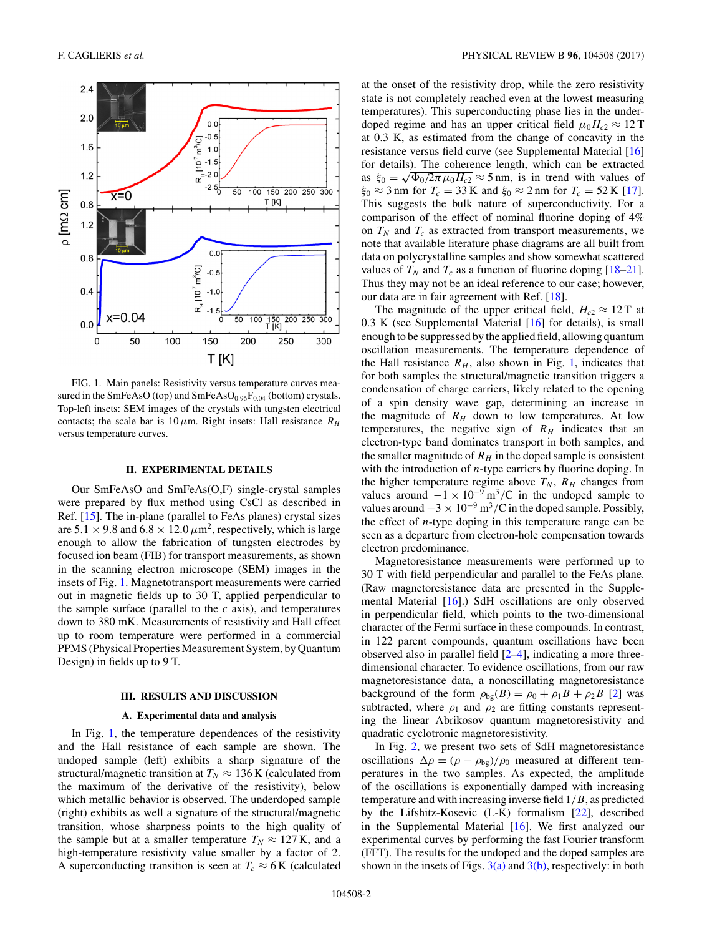<span id="page-1-0"></span>

FIG. 1. Main panels: Resistivity versus temperature curves measured in the SmFeAsO (top) and SmFeAsO<sub>0.96</sub>F<sub>0.04</sub> (bottom) crystals. Top-left insets: SEM images of the crystals with tungsten electrical contacts; the scale bar is  $10 \mu$ m. Right insets: Hall resistance  $R_H$ versus temperature curves.

#### **II. EXPERIMENTAL DETAILS**

Our SmFeAsO and SmFeAs(O,F) single-crystal samples were prepared by flux method using CsCl as described in Ref. [\[15\]](#page-4-0). The in-plane (parallel to FeAs planes) crystal sizes are  $5.1 \times 9.8$  and  $6.8 \times 12.0 \,\mu\text{m}^2$ , respectively, which is large enough to allow the fabrication of tungsten electrodes by focused ion beam (FIB) for transport measurements, as shown in the scanning electron microscope (SEM) images in the insets of Fig. 1. Magnetotransport measurements were carried out in magnetic fields up to 30 T, applied perpendicular to the sample surface (parallel to the *c* axis), and temperatures down to 380 mK. Measurements of resistivity and Hall effect up to room temperature were performed in a commercial PPMS (Physical Properties Measurement System, by Quantum Design) in fields up to 9 T.

#### **III. RESULTS AND DISCUSSION**

#### **A. Experimental data and analysis**

In Fig. 1, the temperature dependences of the resistivity and the Hall resistance of each sample are shown. The undoped sample (left) exhibits a sharp signature of the structural/magnetic transition at  $T_N \approx 136$  K (calculated from the maximum of the derivative of the resistivity), below which metallic behavior is observed. The underdoped sample (right) exhibits as well a signature of the structural/magnetic transition, whose sharpness points to the high quality of the sample but at a smaller temperature  $T_N \approx 127$  K, and a high-temperature resistivity value smaller by a factor of 2. A superconducting transition is seen at  $T_c \approx 6$  K (calculated at the onset of the resistivity drop, while the zero resistivity state is not completely reached even at the lowest measuring temperatures). This superconducting phase lies in the underdoped regime and has an upper critical field  $\mu_0 H_{c2} \approx 12 \text{ T}$ at 0.3 K, as estimated from the change of concavity in the resistance versus field curve (see Supplemental Material [\[16\]](#page-4-0) for details). The coherence length, which can be extracted as  $\xi_0 = \sqrt{\Phi_0/2\pi\mu_0H_{c2}} \approx 5$  nm, is in trend with values of  $\xi_0 \approx 3$  nm for  $T_c = 33$  K and  $\xi_0 \approx 2$  nm for  $T_c = 52$  K [\[17\]](#page-4-0). This suggests the bulk nature of superconductivity. For a comparison of the effect of nominal fluorine doping of 4% on  $T_N$  and  $T_c$  as extracted from transport measurements, we note that available literature phase diagrams are all built from data on polycrystalline samples and show somewhat scattered values of  $T_N$  and  $T_c$  as a function of fluorine doping [\[18–21\]](#page-4-0). Thus they may not be an ideal reference to our case; however, our data are in fair agreement with Ref. [\[18\]](#page-4-0).

The magnitude of the upper critical field,  $H_{c2} \approx 12$  T at 0.3 K (see Supplemental Material [\[16\]](#page-4-0) for details), is small enough to be suppressed by the applied field, allowing quantum oscillation measurements. The temperature dependence of the Hall resistance  $R_H$ , also shown in Fig. 1, indicates that for both samples the structural/magnetic transition triggers a condensation of charge carriers, likely related to the opening of a spin density wave gap, determining an increase in the magnitude of  $R_H$  down to low temperatures. At low temperatures, the negative sign of  $R<sub>H</sub>$  indicates that an electron-type band dominates transport in both samples, and the smaller magnitude of  $R_H$  in the doped sample is consistent with the introduction of *n*-type carriers by fluorine doping. In the higher temperature regime above  $T_N$ ,  $R_H$  changes from values around  $-1 \times 10^{-9}$  m<sup>3</sup>/C in the undoped sample to values around  $-3 \times 10^{-9}$  m<sup>3</sup>/C in the doped sample. Possibly, the effect of *n*-type doping in this temperature range can be seen as a departure from electron-hole compensation towards electron predominance.

Magnetoresistance measurements were performed up to 30 T with field perpendicular and parallel to the FeAs plane. (Raw magnetoresistance data are presented in the Supplemental Material [\[16\]](#page-4-0).) SdH oscillations are only observed in perpendicular field, which points to the two-dimensional character of the Fermi surface in these compounds. In contrast, in 122 parent compounds, quantum oscillations have been observed also in parallel field [\[2–4\]](#page-4-0), indicating a more threedimensional character. To evidence oscillations, from our raw magnetoresistance data, a nonoscillating magnetoresistance background of the form  $\rho_{bg}(B) = \rho_0 + \rho_1 B + \rho_2 B$  [\[2\]](#page-4-0) was subtracted, where  $\rho_1$  and  $\rho_2$  are fitting constants representing the linear Abrikosov quantum magnetoresistivity and quadratic cyclotronic magnetoresistivity.

In Fig. [2,](#page-2-0) we present two sets of SdH magnetoresistance oscillations  $\Delta \rho = (\rho - \rho_{bg})/\rho_0$  measured at different temperatures in the two samples. As expected, the amplitude of the oscillations is exponentially damped with increasing temperature and with increasing inverse field 1*/B*, as predicted by the Lifshitz-Kosevic (L-K) formalism [\[22\]](#page-4-0), described in the Supplemental Material [\[16\]](#page-4-0). We first analyzed our experimental curves by performing the fast Fourier transform (FFT). The results for the undoped and the doped samples are shown in the insets of Figs.  $3(a)$  and  $3(b)$ , respectively: in both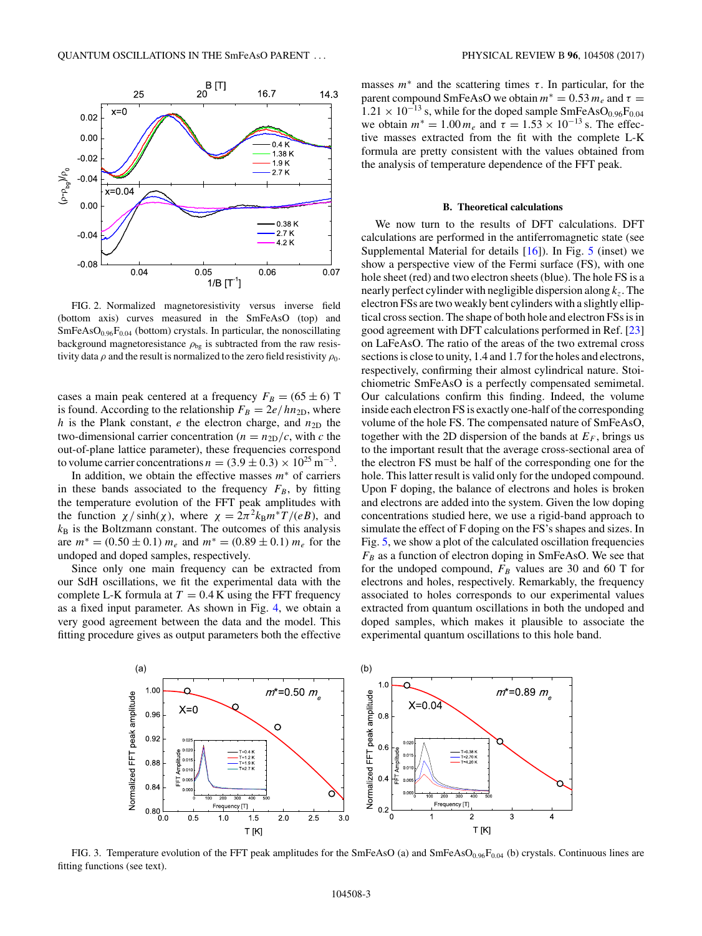<span id="page-2-0"></span>

FIG. 2. Normalized magnetoresistivity versus inverse field (bottom axis) curves measured in the SmFeAsO (top) and SmFeAsO<sub>0.96</sub>F<sub>0.04</sub> (bottom) crystals. In particular, the nonoscillating background magnetoresistance  $\rho_{bg}$  is subtracted from the raw resistivity data  $\rho$  and the result is normalized to the zero field resistivity  $\rho_0$ .

cases a main peak centered at a frequency  $F_B = (65 \pm 6)$  T is found. According to the relationship  $F_B = 2e/hn_{\text{2D}}$ , where *h* is the Plank constant, *e* the electron charge, and  $n_{2D}$  the two-dimensional carrier concentration ( $n = n_{2D}/c$ , with *c* the out-of-plane lattice parameter), these frequencies correspond to volume carrier concentrations  $n = (3.9 \pm 0.3) \times 10^{25} \text{ m}^{-3}$ .

In addition, we obtain the effective masses *m*<sup>∗</sup> of carriers in these bands associated to the frequency  $F_B$ , by fitting the temperature evolution of the FFT peak amplitudes with the function  $\chi$ / sinh( $\chi$ ), where  $\chi = 2\pi^2 k_B m^* T/(eB)$ , and  $k<sub>B</sub>$  is the Boltzmann constant. The outcomes of this analysis are  $m^* = (0.50 \pm 0.1)$   $m_e$  and  $m^* = (0.89 \pm 0.1)$   $m_e$  for the undoped and doped samples, respectively.

Since only one main frequency can be extracted from our SdH oscillations, we fit the experimental data with the complete L-K formula at  $T = 0.4$  K using the FFT frequency as a fixed input parameter. As shown in Fig. [4,](#page-3-0) we obtain a very good agreement between the data and the model. This fitting procedure gives as output parameters both the effective masses  $m^*$  and the scattering times  $\tau$ . In particular, for the parent compound SmFeAsO we obtain  $m^* = 0.53 m_e$  and  $\tau =$  $1.21 \times 10^{-13}$  s, while for the doped sample SmFeAsO<sub>0.96</sub>F<sub>0.04</sub> we obtain  $m^* = 1.00 m_e$  and  $\tau = 1.53 \times 10^{-13}$  s. The effective masses extracted from the fit with the complete L-K formula are pretty consistent with the values obtained from the analysis of temperature dependence of the FFT peak.

#### **B. Theoretical calculations**

We now turn to the results of DFT calculations. DFT calculations are performed in the antiferromagnetic state (see Supplemental Material for details  $[16]$ ). In Fig. [5](#page-3-0) (inset) we show a perspective view of the Fermi surface (FS), with one hole sheet (red) and two electron sheets (blue). The hole FS is a nearly perfect cylinder with negligible dispersion along *kz*. The electron FSs are two weakly bent cylinders with a slightly elliptical cross section. The shape of both hole and electron FSs is in good agreement with DFT calculations performed in Ref. [\[23\]](#page-4-0) on LaFeAsO. The ratio of the areas of the two extremal cross sections is close to unity, 1.4 and 1.7 for the holes and electrons, respectively, confirming their almost cylindrical nature. Stoichiometric SmFeAsO is a perfectly compensated semimetal. Our calculations confirm this finding. Indeed, the volume inside each electron FS is exactly one-half of the corresponding volume of the hole FS. The compensated nature of SmFeAsO, together with the 2D dispersion of the bands at  $E_F$ , brings us to the important result that the average cross-sectional area of the electron FS must be half of the corresponding one for the hole. This latter result is valid only for the undoped compound. Upon F doping, the balance of electrons and holes is broken and electrons are added into the system. Given the low doping concentrations studied here, we use a rigid-band approach to simulate the effect of F doping on the FS's shapes and sizes. In Fig. [5,](#page-3-0) we show a plot of the calculated oscillation frequencies  $F_B$  as a function of electron doping in SmFeAsO. We see that for the undoped compound,  $F_B$  values are 30 and 60 T for electrons and holes, respectively. Remarkably, the frequency associated to holes corresponds to our experimental values extracted from quantum oscillations in both the undoped and doped samples, which makes it plausible to associate the experimental quantum oscillations to this hole band.



FIG. 3. Temperature evolution of the FFT peak amplitudes for the SmFeAsO (a) and SmFeAsO<sub>0.96</sub>F<sub>0.04</sub> (b) crystals. Continuous lines are fitting functions (see text).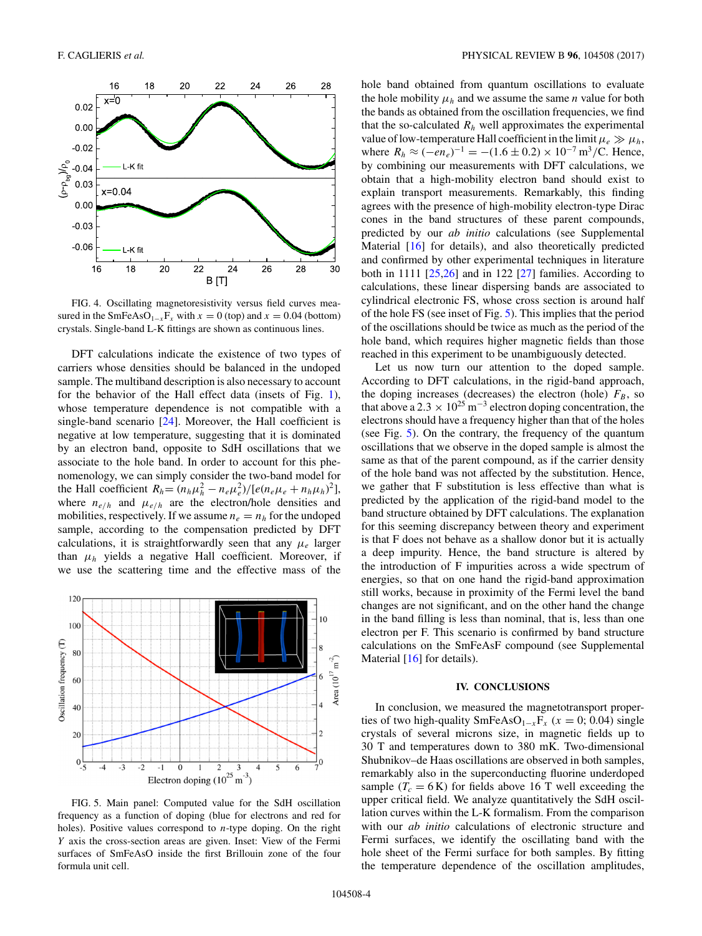<span id="page-3-0"></span>

FIG. 4. Oscillating magnetoresistivity versus field curves measured in the SmFeAsO<sub>1−*x*</sub>F<sub>*x*</sub> with  $x = 0$  (top) and  $x = 0.04$  (bottom) crystals. Single-band L-K fittings are shown as continuous lines.

DFT calculations indicate the existence of two types of carriers whose densities should be balanced in the undoped sample. The multiband description is also necessary to account for the behavior of the Hall effect data (insets of Fig. [1\)](#page-1-0), whose temperature dependence is not compatible with a single-band scenario [\[24\]](#page-4-0). Moreover, the Hall coefficient is negative at low temperature, suggesting that it is dominated by an electron band, opposite to SdH oscillations that we associate to the hole band. In order to account for this phenomenology, we can simply consider the two-band model for the Hall coefficient  $R_h = (n_h \mu_h^2 - n_e \mu_e^2) / [e(n_e \mu_e + n_h \mu_h)^2]$ , where  $n_{e/h}$  and  $\mu_{e/h}$  are the electron/hole densities and mobilities, respectively. If we assume  $n_e = n_h$  for the undoped sample, according to the compensation predicted by DFT calculations, it is straightforwardly seen that any  $\mu_e$  larger than  $\mu_h$  yields a negative Hall coefficient. Moreover, if we use the scattering time and the effective mass of the



FIG. 5. Main panel: Computed value for the SdH oscillation frequency as a function of doping (blue for electrons and red for holes). Positive values correspond to *n*-type doping. On the right *Y* axis the cross-section areas are given. Inset: View of the Fermi surfaces of SmFeAsO inside the first Brillouin zone of the four formula unit cell.

hole band obtained from quantum oscillations to evaluate the hole mobility  $\mu_h$  and we assume the same *n* value for both the bands as obtained from the oscillation frequencies, we find that the so-calculated  $R_h$  well approximates the experimental value of low-temperature Hall coefficient in the limit  $\mu_e \gg \mu_h$ , where  $R_h \approx (-en_e)^{-1} = -(1.6 \pm 0.2) \times 10^{-7} \text{ m}^3/\text{C}$ . Hence, by combining our measurements with DFT calculations, we obtain that a high-mobility electron band should exist to explain transport measurements. Remarkably, this finding agrees with the presence of high-mobility electron-type Dirac cones in the band structures of these parent compounds, predicted by our *ab initio* calculations (see Supplemental Material [\[16\]](#page-4-0) for details), and also theoretically predicted and confirmed by other experimental techniques in literature both in 1111  $[25,26]$  and in 122  $[27]$  families. According to calculations, these linear dispersing bands are associated to cylindrical electronic FS, whose cross section is around half of the hole FS (see inset of Fig. 5). This implies that the period of the oscillations should be twice as much as the period of the hole band, which requires higher magnetic fields than those reached in this experiment to be unambiguously detected.

Let us now turn our attention to the doped sample. According to DFT calculations, in the rigid-band approach, the doping increases (decreases) the electron (hole)  $F_B$ , so that above a 2.3  $\times$  10<sup>25</sup> m<sup>-3</sup> electron doping concentration, the electrons should have a frequency higher than that of the holes (see Fig. 5). On the contrary, the frequency of the quantum oscillations that we observe in the doped sample is almost the same as that of the parent compound, as if the carrier density of the hole band was not affected by the substitution. Hence, we gather that F substitution is less effective than what is predicted by the application of the rigid-band model to the band structure obtained by DFT calculations. The explanation for this seeming discrepancy between theory and experiment is that F does not behave as a shallow donor but it is actually a deep impurity. Hence, the band structure is altered by the introduction of F impurities across a wide spectrum of energies, so that on one hand the rigid-band approximation still works, because in proximity of the Fermi level the band changes are not significant, and on the other hand the change in the band filling is less than nominal, that is, less than one electron per F. This scenario is confirmed by band structure calculations on the SmFeAsF compound (see Supplemental Material  $[16]$  for details).

### **IV. CONCLUSIONS**

In conclusion, we measured the magnetotransport properties of two high-quality SmFeAsO<sub>1−*x*</sub>F<sub>*x*</sub> ( $x = 0$ ; 0.04) single crystals of several microns size, in magnetic fields up to 30 T and temperatures down to 380 mK. Two-dimensional Shubnikov–de Haas oscillations are observed in both samples, remarkably also in the superconducting fluorine underdoped sample  $(T_c = 6 \text{ K})$  for fields above 16 T well exceeding the upper critical field. We analyze quantitatively the SdH oscillation curves within the L-K formalism. From the comparison with our *ab initio* calculations of electronic structure and Fermi surfaces, we identify the oscillating band with the hole sheet of the Fermi surface for both samples. By fitting the temperature dependence of the oscillation amplitudes,